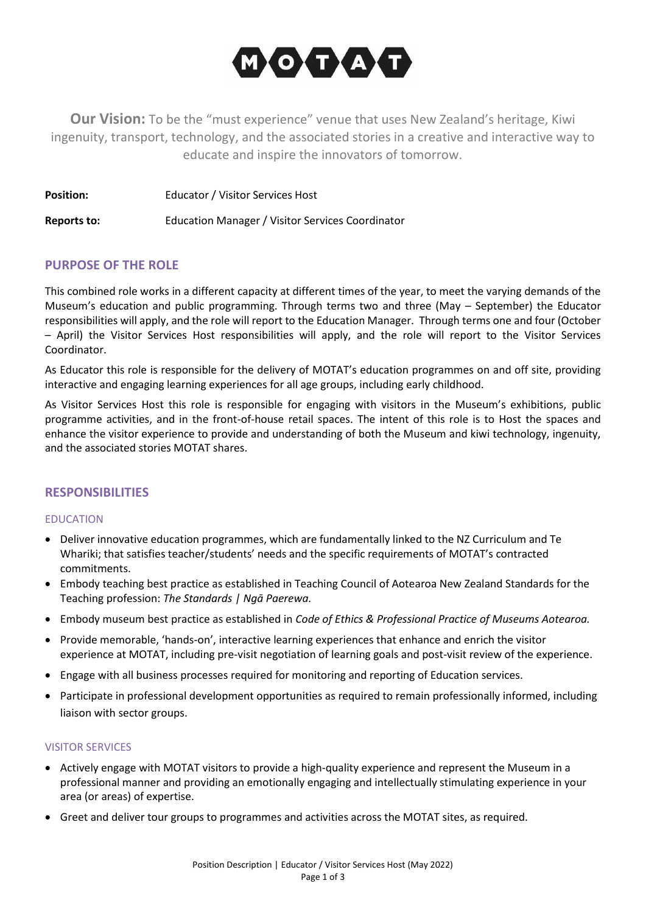

**Our Vision:** To be the "must experience" venue that uses New Zealand's heritage, Kiwi ingenuity, transport, technology, and the associated stories in a creative and interactive way to educate and inspire the innovators of tomorrow.

| <b>Position:</b> | Educator / Visitor Services Host |  |
|------------------|----------------------------------|--|
|------------------|----------------------------------|--|

**Reports to:** Education Manager / Visitor Services Coordinator

# **PURPOSE OF THE ROLE**

This combined role works in a different capacity at different times of the year, to meet the varying demands of the Museum's education and public programming. Through terms two and three (May – September) the Educator responsibilities will apply, and the role will report to the Education Manager. Through terms one and four (October – April) the Visitor Services Host responsibilities will apply, and the role will report to the Visitor Services Coordinator.

As Educator this role is responsible for the delivery of MOTAT's education programmes on and off site, providing interactive and engaging learning experiences for all age groups, including early childhood.

As Visitor Services Host this role is responsible for engaging with visitors in the Museum's exhibitions, public programme activities, and in the front-of-house retail spaces. The intent of this role is to Host the spaces and enhance the visitor experience to provide and understanding of both the Museum and kiwi technology, ingenuity, and the associated stories MOTAT shares.

# **RESPONSIBILITIES**

#### **EDUCATION**

- Deliver innovative education programmes, which are fundamentally linked to the NZ Curriculum and Te Whariki; that satisfies teacher/students' needs and the specific requirements of MOTAT's contracted commitments.
- Embody teaching best practice as established in Teaching Council of Aotearoa New Zealand Standards for the Teaching profession: *The Standards | Ngā Paerewa.*
- Embody museum best practice as established in *Code of Ethics & Professional Practice of Museums Aotearoa.*
- Provide memorable, 'hands-on', interactive learning experiences that enhance and enrich the visitor experience at MOTAT, including pre-visit negotiation of learning goals and post-visit review of the experience.
- Engage with all business processes required for monitoring and reporting of Education services.
- Participate in professional development opportunities as required to remain professionally informed, including liaison with sector groups.

#### VISITOR SERVICES

- Actively engage with MOTAT visitors to provide a high-quality experience and represent the Museum in a professional manner and providing an emotionally engaging and intellectually stimulating experience in your area (or areas) of expertise.
- Greet and deliver tour groups to programmes and activities across the MOTAT sites, as required.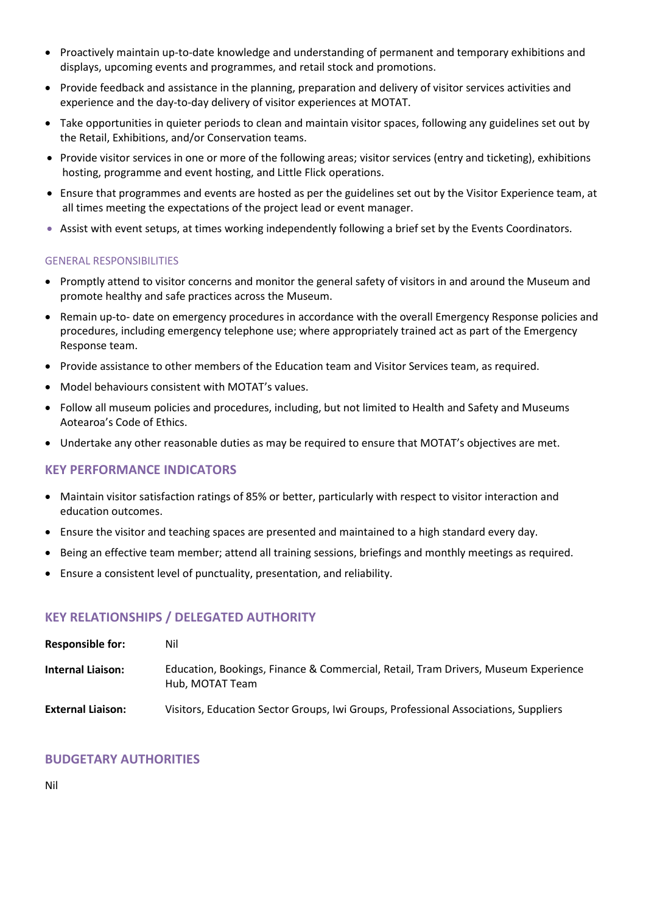- Proactively maintain up-to-date knowledge and understanding of permanent and temporary exhibitions and displays, upcoming events and programmes, and retail stock and promotions.
- Provide feedback and assistance in the planning, preparation and delivery of visitor services activities and experience and the day-to-day delivery of visitor experiences at MOTAT.
- Take opportunities in quieter periods to clean and maintain visitor spaces, following any guidelines set out by the Retail, Exhibitions, and/or Conservation teams.
- Provide visitor services in one or more of the following areas; visitor services (entry and ticketing), exhibitions hosting, programme and event hosting, and Little Flick operations.
- Ensure that programmes and events are hosted as per the guidelines set out by the Visitor Experience team, at all times meeting the expectations of the project lead or event manager.
- Assist with event setups, at times working independently following a brief set by the Events Coordinators.

### GENERAL RESPONSIBILITIES

- Promptly attend to visitor concerns and monitor the general safety of visitors in and around the Museum and promote healthy and safe practices across the Museum.
- Remain up-to- date on emergency procedures in accordance with the overall Emergency Response policies and procedures, including emergency telephone use; where appropriately trained act as part of the Emergency Response team.
- Provide assistance to other members of the Education team and Visitor Services team, as required.
- Model behaviours consistent with MOTAT's values.
- Follow all museum policies and procedures, including, but not limited to Health and Safety and Museums Aotearoa's Code of Ethics.
- Undertake any other reasonable duties as may be required to ensure that MOTAT's objectives are met.

# **KEY PERFORMANCE INDICATORS**

- Maintain visitor satisfaction ratings of 85% or better, particularly with respect to visitor interaction and education outcomes.
- Ensure the visitor and teaching spaces are presented and maintained to a high standard every day.
- Being an effective team member; attend all training sessions, briefings and monthly meetings as required.
- Ensure a consistent level of punctuality, presentation, and reliability.

# **KEY RELATIONSHIPS / DELEGATED AUTHORITY**

| <b>Responsible for:</b>  | Nil                                                                                                   |
|--------------------------|-------------------------------------------------------------------------------------------------------|
| <b>Internal Liaison:</b> | Education, Bookings, Finance & Commercial, Retail, Tram Drivers, Museum Experience<br>Hub. MOTAT Team |
| <b>External Liaison:</b> | Visitors, Education Sector Groups, Iwi Groups, Professional Associations, Suppliers                   |

# **BUDGETARY AUTHORITIES**

Nil